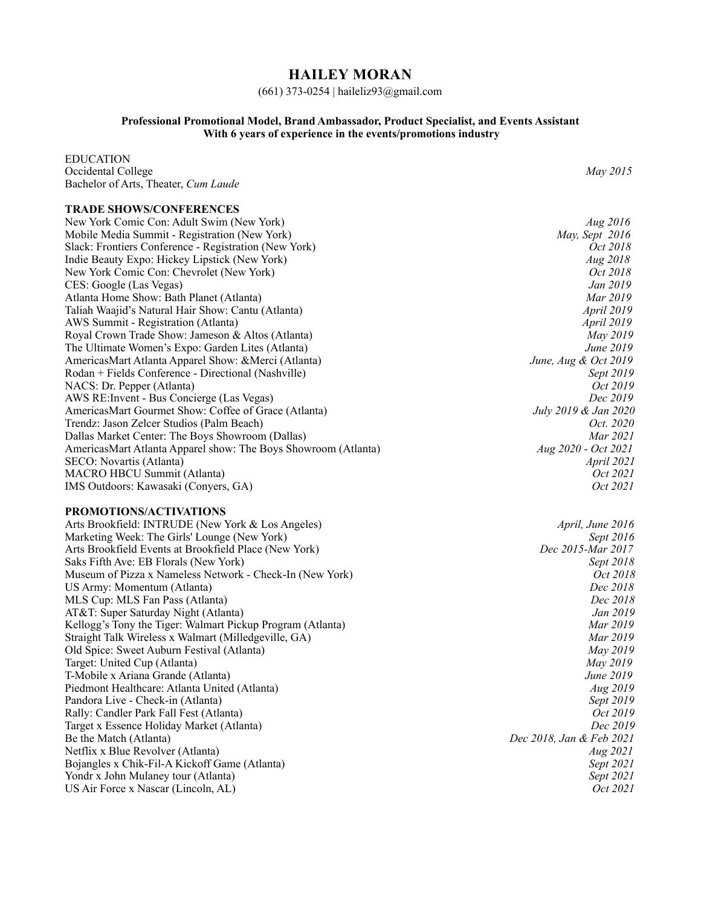## **HAILEY MORAN**

#### (661) 373-0254 | haileliz93@gmail.com

#### **Professional Promotional Model, Brand Ambassador, Product Specialist, and Events Assistant With 6 years of experience in the events/promotions industry**

EDUCATION Occidental College *May 2015* Bachelor of Arts, Theater, *Cum Laude*  **TRADE SHOWS/CONFERENCES** New York Comic Con: Adult Swim (New York) *Aug 2016* Mobile Media Summit - Registration (New York) Slack: Frontiers Conference - Registration (New York) *Oct 2018 Oct 2018* Indie Beauty Expo: Hickey Lipstick (New York) *Aug 2018* New York Comic Con: Chevrolet (New York) *Oct 2018*<br>CES: Google (Las Vegas) *Jan 2019* CES: Google (Las Vegas) Atlanta Home Show: Bath Planet (Atlanta) *Mar 2019*  Taliah Waajid's Natural Hair Show: Cantu (Atlanta) AWS Summit - Registration (Atlanta) *April 2019* Royal Crown Trade Show: Jameson & Altos (Atlanta) *May 2019* The Ultimate Women's Expo: Garden Lites (Atlanta) *June 2019*<br>AmericasMart Atlanta Apparel Show: &Merci (Atlanta) *June, Aug* & Oct 2019 AmericasMart Atlanta Apparel Show: & Merci (Atlanta) Rodan + Fields Conference - Directional (Nashville) *Sept 2019*  NACS: Dr. Pepper (Atlanta) *Oct 2019*<br>
AWS RE: Invent - Bus Concierge (Las Vegas) *Dec 2019* AWS RE: Invent - Bus Concierge (Las Vegas) AmericasMart Gourmet Show: Coffee of Grace (Atlanta) *July 2019 & Jan 2020* Trendz: Jason Zelcer Studios (Palm Beach) *Oct. 2020* Dallas Market Center: The Boys Showroom (Dallas) *Mar 2021* AmericasMart Atlanta Apparel show: The Boys Showroom (Atlanta) *Aug 2020 - Oct 2021* SECO: Novartis (Atlanta) MACRO HBCU Summit (Atlanta) *Oct 2021* IMS Outdoors: Kawasaki (Conyers, GA) *Oct 2021* **PROMOTIONS/ACTIVATIONS** Arts Brookfield: INTRUDE (New York & Los Angeles) *April, June 2016* Marketing Week: The Girls' Lounge (New York)<br>
Arts Brookfield Events at Brookfield Place (New York) *Dec 2015-Mar 2017* Arts Brookfield Events at Brookfield Place (New York) Saks Fifth Ave: EB Florals (New York) *Sept 2018* Museum of Pizza x Nameless Network - Check-In (New York)<br>
US Army: Momentum (Atlanta) *Dec 2018* US Army: Momentum (Atlanta) MLS Cup: MLS Fan Pass (Atlanta) *Dec 2018* AT&T: Super Saturday Night (Atlanta) *Jan 2019* Kellogg's Tony the Tiger: Walmart Pickup Program (Atlanta) Straight Talk Wireless x Walmart (Milledgeville, GA) *Mar 2019* Old Spice: Sweet Auburn Festival (Atlanta) *May 2019* Target: United Cup (Atlanta) T-Mobile x Ariana Grande (Atlanta) *June 2019* Piedmont Healthcare: Atlanta United (Atlanta) *Aug 2019* Pandora Live - Check-in (Atlanta) Rally: Candler Park Fall Fest (Atlanta) *Oct 2019* Target x Essence Holiday Market (Atlanta) *Dec 2019* Be the Match (Atlanta) *Dec 2018, Jan & Feb 2021*<br> *Dec 2018, Jan & Feb 2021*<br> *Aug 2021* Netflix x Blue Revolver (Atlanta) *Aug 2021* Bojangles x Chik-Fil-A Kickoff Game (Atlanta) Yondr x John Mulaney tour (Atlanta) *Sept 2021* US Air Force x Nascar (Lincoln, AL) *Oct 2021*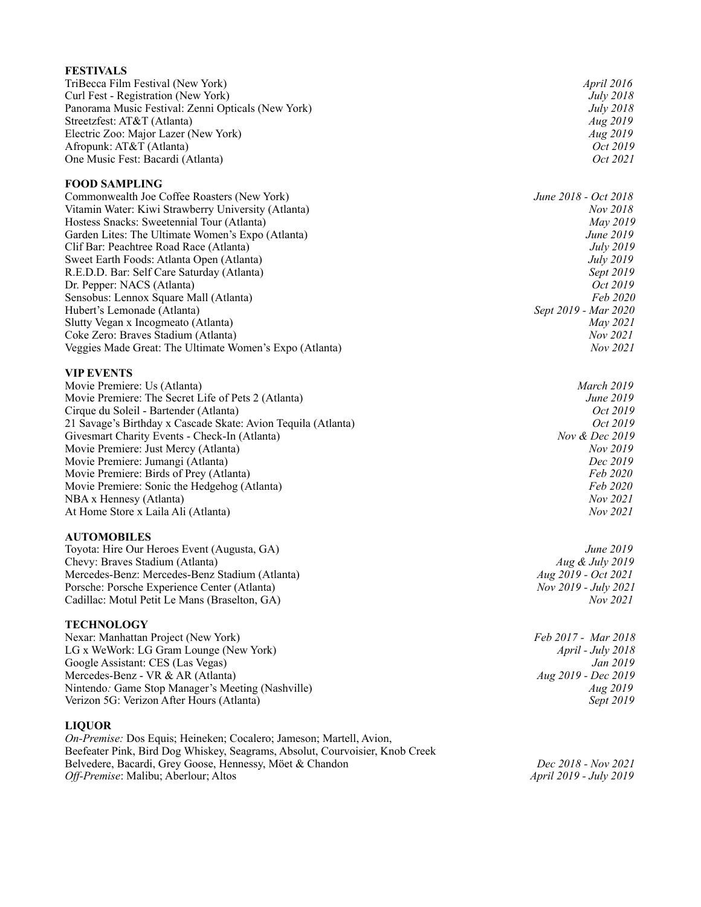| <b>FESTIVALS</b>                                                                                                                         |                                 |
|------------------------------------------------------------------------------------------------------------------------------------------|---------------------------------|
| TriBecca Film Festival (New York)                                                                                                        | April 2016                      |
| Curl Fest - Registration (New York)                                                                                                      | <i>July</i> 2018                |
| Panorama Music Festival: Zenni Opticals (New York)                                                                                       | <i>July</i> 2018                |
| Streetzfest: AT&T (Atlanta)                                                                                                              | Aug 2019                        |
| Electric Zoo: Major Lazer (New York)                                                                                                     | Aug 2019                        |
| Afropunk: AT&T (Atlanta)                                                                                                                 | Oct 2019                        |
| One Music Fest: Bacardi (Atlanta)                                                                                                        | Oct 2021                        |
| <b>FOOD SAMPLING</b>                                                                                                                     |                                 |
| Commonwealth Joe Coffee Roasters (New York)                                                                                              | June 2018 - Oct 2018            |
| Vitamin Water: Kiwi Strawberry University (Atlanta)                                                                                      | Nov 2018                        |
| Hostess Snacks: Sweetennial Tour (Atlanta)                                                                                               | May 2019                        |
| Garden Lites: The Ultimate Women's Expo (Atlanta)                                                                                        | June 2019                       |
| Clif Bar: Peachtree Road Race (Atlanta)                                                                                                  | <i>July</i> 2019                |
| Sweet Earth Foods: Atlanta Open (Atlanta)                                                                                                | <i>July 2019</i>                |
| R.E.D.D. Bar: Self Care Saturday (Atlanta)                                                                                               | Sept 2019                       |
| Dr. Pepper: NACS (Atlanta)                                                                                                               | <i>Oct</i> 2019                 |
| Sensobus: Lennox Square Mall (Atlanta)                                                                                                   | Feb 2020                        |
| Hubert's Lemonade (Atlanta)                                                                                                              | Sept 2019 - Mar 2020            |
| Slutty Vegan x Incogmeato (Atlanta)                                                                                                      | May 2021                        |
| Coke Zero: Braves Stadium (Atlanta)<br>Veggies Made Great: The Ultimate Women's Expo (Atlanta)                                           | Nov 2021<br>Nov 2021            |
|                                                                                                                                          |                                 |
| <b>VIP EVENTS</b>                                                                                                                        |                                 |
| Movie Premiere: Us (Atlanta)                                                                                                             | <b>March 2019</b>               |
| Movie Premiere: The Secret Life of Pets 2 (Atlanta)                                                                                      | June 2019                       |
| Cirque du Soleil - Bartender (Atlanta)                                                                                                   | <i>Oct</i> 2019                 |
| 21 Savage's Birthday x Cascade Skate: Avion Tequila (Atlanta)                                                                            | <i>Oct</i> 2019                 |
| Givesmart Charity Events - Check-In (Atlanta)                                                                                            | Nov & Dec 2019                  |
| Movie Premiere: Just Mercy (Atlanta)                                                                                                     | Nov 2019                        |
| Movie Premiere: Jumangi (Atlanta)                                                                                                        | Dec 2019<br>Feb 2020            |
| Movie Premiere: Birds of Prey (Atlanta)<br>Movie Premiere: Sonic the Hedgehog (Atlanta)                                                  | Feb 2020                        |
| NBA x Hennesy (Atlanta)                                                                                                                  | Nov 2021                        |
| At Home Store x Laila Ali (Atlanta)                                                                                                      | Nov 2021                        |
|                                                                                                                                          |                                 |
| <b>AUTOMOBILES</b><br>Toyota: Hire Our Heroes Event (Augusta, GA)                                                                        | June 2019                       |
| Chevy: Braves Stadium (Atlanta)                                                                                                          | Aug & July 2019                 |
| Mercedes-Benz: Mercedes-Benz Stadium (Atlanta)                                                                                           | Aug 2019 - Oct 2021             |
| Porsche: Porsche Experience Center (Atlanta)                                                                                             | Nov 2019 - July 2021            |
| Cadillac: Motul Petit Le Mans (Braselton, GA)                                                                                            | Nov 2021                        |
|                                                                                                                                          |                                 |
| <b>TECHNOLOGY</b>                                                                                                                        |                                 |
| Nexar: Manhattan Project (New York)                                                                                                      | Feb 2017 - Mar 2018             |
| LG x WeWork: LG Gram Lounge (New York)                                                                                                   | April - July 2018               |
| Google Assistant: CES (Las Vegas)<br>Mercedes-Benz - VR & AR (Atlanta)                                                                   | Jan 2019<br>Aug 2019 - Dec 2019 |
| Nintendo: Game Stop Manager's Meeting (Nashville)                                                                                        | <i>Aug 2019</i>                 |
| Verizon 5G: Verizon After Hours (Atlanta)                                                                                                | Sept 2019                       |
|                                                                                                                                          |                                 |
| <b>LIQUOR</b>                                                                                                                            |                                 |
| On-Premise: Dos Equis; Heineken; Cocalero; Jameson; Martell, Avion,                                                                      |                                 |
| Beefeater Pink, Bird Dog Whiskey, Seagrams, Absolut, Courvoisier, Knob Creek<br>Belvedere, Bacardi, Grey Goose, Hennessy, Möet & Chandon | Dec 2018 - Nov 2021             |
|                                                                                                                                          |                                 |

*Off-Premise*: Malibu; Aberlour; Altos *April 2019 - July 2019*